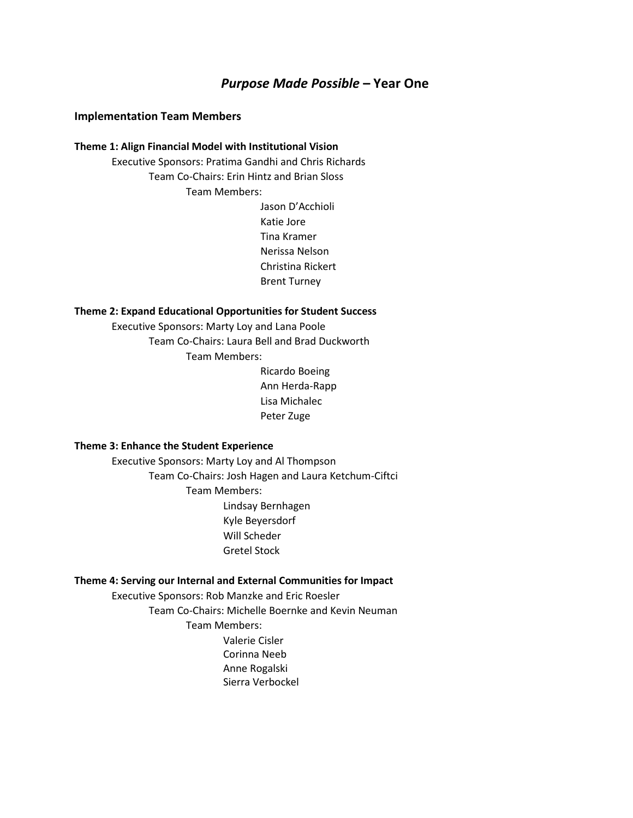#### *Purpose Made Possible* **– Year One**

#### **Implementation Team Members**

#### **Theme 1: Align Financial Model with Institutional Vision**

Executive Sponsors: Pratima Gandhi and Chris Richards Team Co-Chairs: Erin Hintz and Brian Sloss Team Members:

> Jason D'Acchioli Katie Jore Tina Kramer Nerissa Nelson Christina Rickert Brent Turney

#### **Theme 2: Expand Educational Opportunities for Student Success**

Executive Sponsors: Marty Loy and Lana Poole Team Co-Chairs: Laura Bell and Brad Duckworth Team Members:

> Ricardo Boeing Ann Herda-Rapp Lisa Michalec Peter Zuge

#### **Theme 3: Enhance the Student Experience**

Executive Sponsors: Marty Loy and Al Thompson Team Co-Chairs: Josh Hagen and Laura Ketchum-Ciftci Team Members: Lindsay Bernhagen Kyle Beyersdorf Will Scheder Gretel Stock

#### **Theme 4: Serving our Internal and External Communities for Impact**

Executive Sponsors: Rob Manzke and Eric Roesler Team Co-Chairs: Michelle Boernke and Kevin Neuman Team Members: Valerie Cisler Corinna Neeb Anne Rogalski

Sierra Verbockel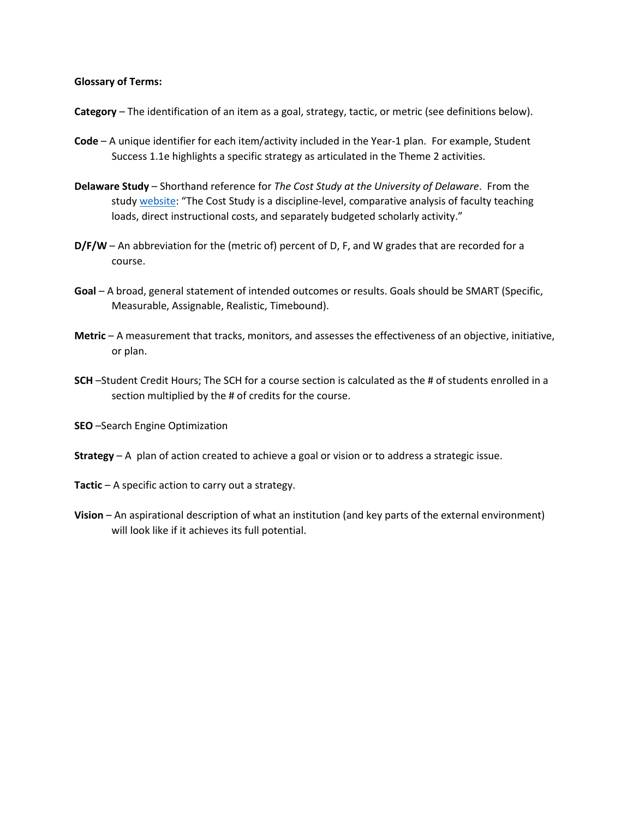#### **Glossary of Terms:**

- **Category** The identification of an item as a goal, strategy, tactic, or metric (see definitions below).
- **Code** A unique identifier for each item/activity included in the Year-1 plan. For example, Student Success 1.1e highlights a specific strategy as articulated in the Theme 2 activities.
- **Delaware Study** Shorthand reference for *The Cost Study at the University of Delaware*. From the study [website:](https://ire.udel.edu/cost/about-us/about-the-cost-study/) "The Cost Study is a discipline-level, comparative analysis of faculty teaching loads, direct instructional costs, and separately budgeted scholarly activity."
- **D/F/W** An abbreviation for the (metric of) percent of D, F, and W grades that are recorded for a course.
- **Goal** A broad, general statement of intended outcomes or results. Goals should be SMART (Specific, Measurable, Assignable, Realistic, Timebound).
- **Metric** A measurement that tracks, monitors, and assesses the effectiveness of an objective, initiative, or plan.
- **SCH** –Student Credit Hours; The SCH for a course section is calculated as the # of students enrolled in a section multiplied by the # of credits for the course.
- **SEO** –Search Engine Optimization
- **Strategy** A plan of action created to achieve a goal or vision or to address a strategic issue.
- **Tactic** A specific action to carry out a strategy.
- **Vision** An aspirational description of what an institution (and key parts of the external environment) will look like if it achieves its full potential.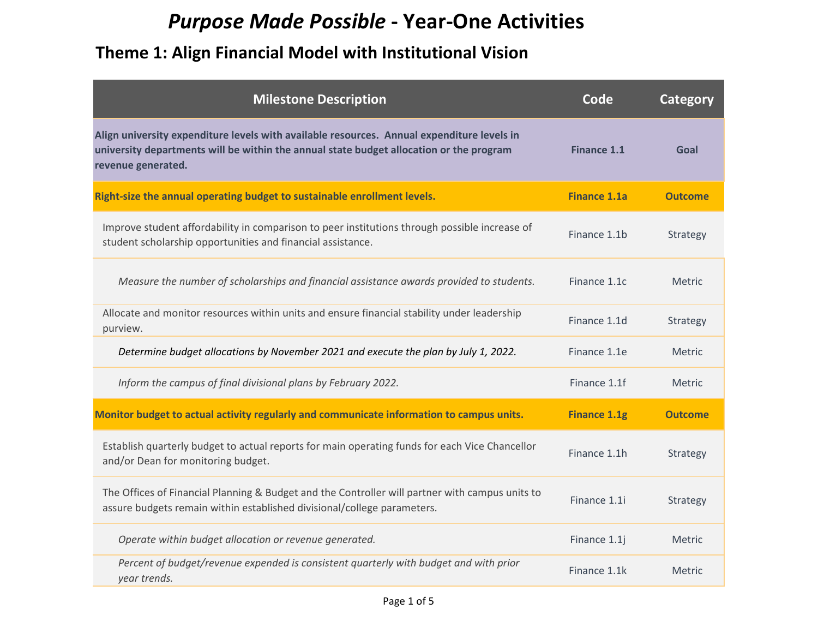# *Purpose Made Possible* **- Year-One Activities**

| <b>Milestone Description</b>                                                                                                                                                                                | Code                | <b>Category</b> |
|-------------------------------------------------------------------------------------------------------------------------------------------------------------------------------------------------------------|---------------------|-----------------|
| Align university expenditure levels with available resources. Annual expenditure levels in<br>university departments will be within the annual state budget allocation or the program<br>revenue generated. | <b>Finance 1.1</b>  | Goal            |
| Right-size the annual operating budget to sustainable enrollment levels.                                                                                                                                    | <b>Finance 1.1a</b> | <b>Outcome</b>  |
| Improve student affordability in comparison to peer institutions through possible increase of<br>student scholarship opportunities and financial assistance.                                                | Finance 1.1b        | Strategy        |
| Measure the number of scholarships and financial assistance awards provided to students.                                                                                                                    | Finance 1.1c        | <b>Metric</b>   |
| Allocate and monitor resources within units and ensure financial stability under leadership<br>purview.                                                                                                     | Finance 1.1d        | Strategy        |
| Determine budget allocations by November 2021 and execute the plan by July 1, 2022.                                                                                                                         | Finance 1.1e        | Metric          |
| Inform the campus of final divisional plans by February 2022.                                                                                                                                               | Finance 1.1f        | <b>Metric</b>   |
| Monitor budget to actual activity regularly and communicate information to campus units.                                                                                                                    | <b>Finance 1.1g</b> | <b>Outcome</b>  |
| Establish quarterly budget to actual reports for main operating funds for each Vice Chancellor<br>and/or Dean for monitoring budget.                                                                        | Finance 1.1h        | Strategy        |
| The Offices of Financial Planning & Budget and the Controller will partner with campus units to<br>assure budgets remain within established divisional/college parameters.                                  | Finance 1.1i        | Strategy        |
| Operate within budget allocation or revenue generated.                                                                                                                                                      | Finance 1.1j        | Metric          |
| Percent of budget/revenue expended is consistent quarterly with budget and with prior<br>year trends.                                                                                                       | Finance 1.1k        | <b>Metric</b>   |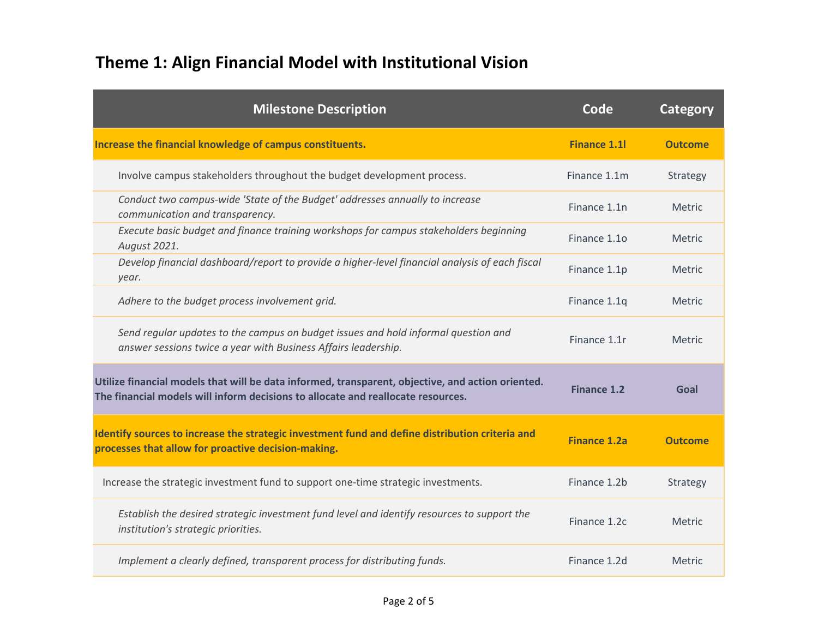| <b>Milestone Description</b>                                                                                                                                                          | Code                | Category       |
|---------------------------------------------------------------------------------------------------------------------------------------------------------------------------------------|---------------------|----------------|
| Increase the financial knowledge of campus constituents.                                                                                                                              | <b>Finance 1.1l</b> | <b>Outcome</b> |
| Involve campus stakeholders throughout the budget development process.                                                                                                                | Finance 1.1m        | Strategy       |
| Conduct two campus-wide 'State of the Budget' addresses annually to increase<br>communication and transparency.                                                                       | Finance 1.1n        | <b>Metric</b>  |
| Execute basic budget and finance training workshops for campus stakeholders beginning<br>August 2021.                                                                                 | Finance 1.10        | <b>Metric</b>  |
| Develop financial dashboard/report to provide a higher-level financial analysis of each fiscal<br>year.                                                                               | Finance 1.1p        | <b>Metric</b>  |
| Adhere to the budget process involvement grid.                                                                                                                                        | Finance 1.1q        | <b>Metric</b>  |
| Send regular updates to the campus on budget issues and hold informal question and<br>answer sessions twice a year with Business Affairs leadership.                                  | Finance 1.1r        | <b>Metric</b>  |
| Utilize financial models that will be data informed, transparent, objective, and action oriented.<br>The financial models will inform decisions to allocate and reallocate resources. | Finance 1.2         | Goal           |
| Identify sources to increase the strategic investment fund and define distribution criteria and<br>processes that allow for proactive decision-making.                                | <b>Finance 1.2a</b> | <b>Outcome</b> |
| Increase the strategic investment fund to support one-time strategic investments.                                                                                                     | Finance 1.2b        | Strategy       |
| Establish the desired strategic investment fund level and identify resources to support the<br>institution's strategic priorities.                                                    | Finance 1.2c        | <b>Metric</b>  |
| Implement a clearly defined, transparent process for distributing funds.                                                                                                              | Finance 1.2d        | <b>Metric</b>  |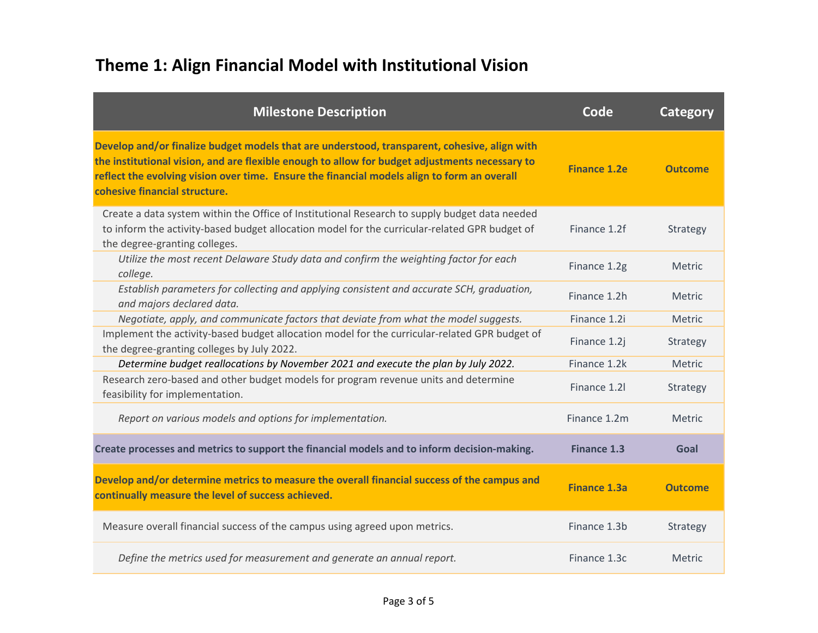| <b>Milestone Description</b>                                                                                                                                                                                                                                                                                                   | Code                | <b>Category</b> |
|--------------------------------------------------------------------------------------------------------------------------------------------------------------------------------------------------------------------------------------------------------------------------------------------------------------------------------|---------------------|-----------------|
| Develop and/or finalize budget models that are understood, transparent, cohesive, align with<br>the institutional vision, and are flexible enough to allow for budget adjustments necessary to<br>reflect the evolving vision over time. Ensure the financial models align to form an overall<br>cohesive financial structure. | <b>Finance 1.2e</b> | <b>Outcome</b>  |
| Create a data system within the Office of Institutional Research to supply budget data needed<br>to inform the activity-based budget allocation model for the curricular-related GPR budget of<br>the degree-granting colleges.                                                                                                | Finance 1.2f        | Strategy        |
| Utilize the most recent Delaware Study data and confirm the weighting factor for each<br>college.                                                                                                                                                                                                                              | Finance 1.2g        | Metric          |
| Establish parameters for collecting and applying consistent and accurate SCH, graduation,<br>and majors declared data.                                                                                                                                                                                                         | Finance 1.2h        | <b>Metric</b>   |
| Negotiate, apply, and communicate factors that deviate from what the model suggests.                                                                                                                                                                                                                                           | Finance 1.2i        | Metric          |
| Implement the activity-based budget allocation model for the curricular-related GPR budget of<br>the degree-granting colleges by July 2022.                                                                                                                                                                                    | Finance 1.2j        | Strategy        |
| Determine budget reallocations by November 2021 and execute the plan by July 2022.                                                                                                                                                                                                                                             | Finance 1.2k        | Metric          |
| Research zero-based and other budget models for program revenue units and determine<br>feasibility for implementation.                                                                                                                                                                                                         | Finance 1.21        | Strategy        |
| Report on various models and options for implementation.                                                                                                                                                                                                                                                                       | Finance 1.2m        | <b>Metric</b>   |
| Create processes and metrics to support the financial models and to inform decision-making.                                                                                                                                                                                                                                    | <b>Finance 1.3</b>  | Goal            |
| Develop and/or determine metrics to measure the overall financial success of the campus and<br>continually measure the level of success achieved.                                                                                                                                                                              | <b>Finance 1.3a</b> | <b>Outcome</b>  |
| Measure overall financial success of the campus using agreed upon metrics.                                                                                                                                                                                                                                                     | Finance 1.3b        | Strategy        |
| Define the metrics used for measurement and generate an annual report.                                                                                                                                                                                                                                                         | Finance 1.3c        | Metric          |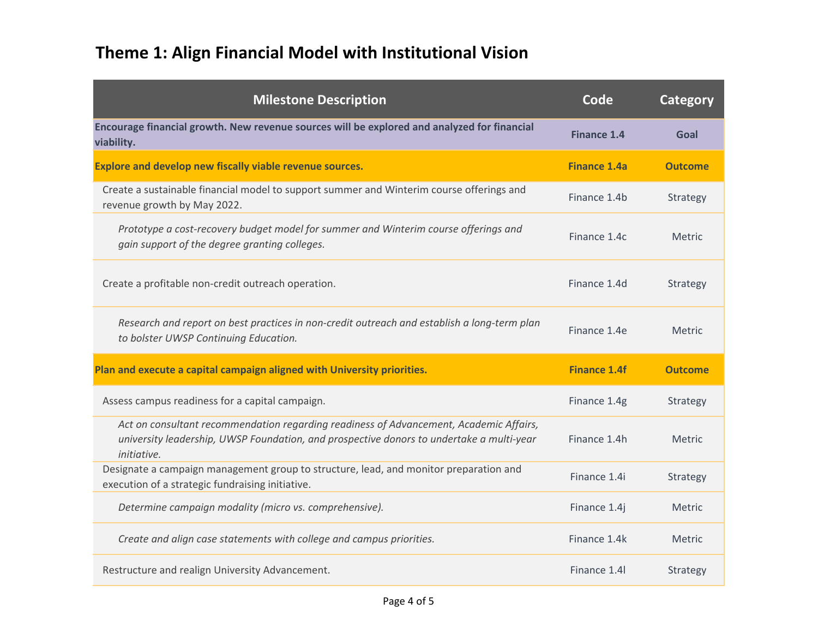| <b>Milestone Description</b>                                                                                                                                                                      | Code                | <b>Category</b> |
|---------------------------------------------------------------------------------------------------------------------------------------------------------------------------------------------------|---------------------|-----------------|
| Encourage financial growth. New revenue sources will be explored and analyzed for financial<br>viability.                                                                                         | <b>Finance 1.4</b>  | Goal            |
| Explore and develop new fiscally viable revenue sources.                                                                                                                                          | <b>Finance 1.4a</b> | <b>Outcome</b>  |
| Create a sustainable financial model to support summer and Winterim course offerings and<br>revenue growth by May 2022.                                                                           | Finance 1.4b        | Strategy        |
| Prototype a cost-recovery budget model for summer and Winterim course offerings and<br>gain support of the degree granting colleges.                                                              | Finance 1.4c        | <b>Metric</b>   |
| Create a profitable non-credit outreach operation.                                                                                                                                                | Finance 1.4d        | Strategy        |
| Research and report on best practices in non-credit outreach and establish a long-term plan<br>to bolster UWSP Continuing Education.                                                              | Finance 1.4e        | <b>Metric</b>   |
| Plan and execute a capital campaign aligned with University priorities.                                                                                                                           | <b>Finance 1.4f</b> | <b>Outcome</b>  |
| Assess campus readiness for a capital campaign.                                                                                                                                                   | Finance 1.4g        | Strategy        |
| Act on consultant recommendation regarding readiness of Advancement, Academic Affairs,<br>university leadership, UWSP Foundation, and prospective donors to undertake a multi-year<br>initiative. | Finance 1.4h        | <b>Metric</b>   |
| Designate a campaign management group to structure, lead, and monitor preparation and<br>execution of a strategic fundraising initiative.                                                         | Finance 1.4i        | Strategy        |
| Determine campaign modality (micro vs. comprehensive).                                                                                                                                            | Finance 1.4j        | <b>Metric</b>   |
| Create and align case statements with college and campus priorities.                                                                                                                              | Finance 1.4k        | <b>Metric</b>   |
| Restructure and realign University Advancement.                                                                                                                                                   | Finance 1.4         | Strategy        |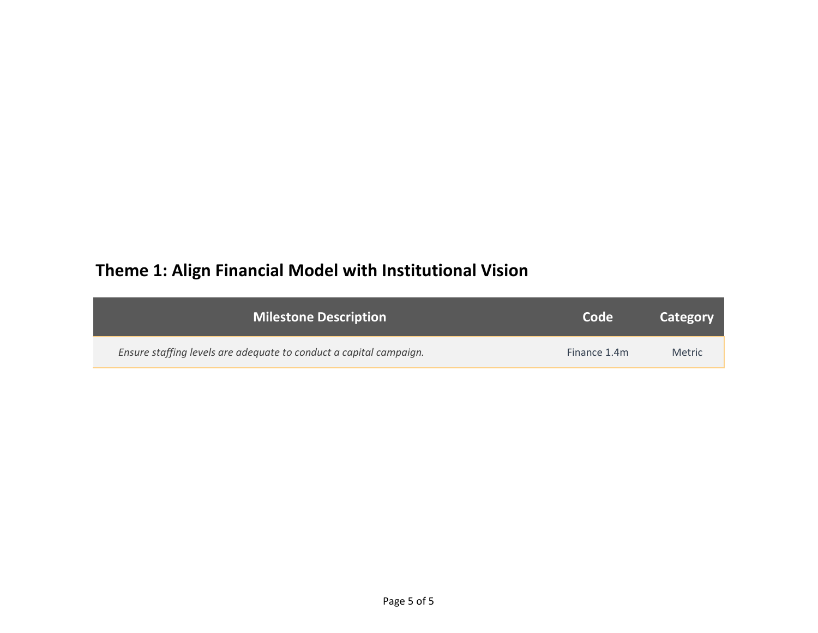| <b>Milestone Description</b>                                       | Code         | Category      |
|--------------------------------------------------------------------|--------------|---------------|
| Ensure staffing levels are adequate to conduct a capital campaign. | Finance 1.4m | <b>Metric</b> |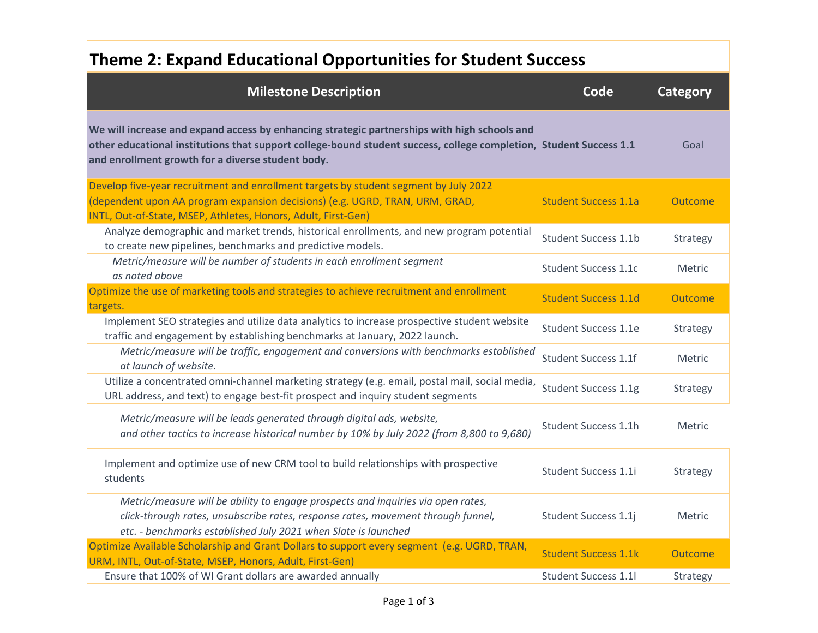## **Theme 2: Expand Educational Opportunities for Student Success**

| <b>Milestone Description</b>                                                                                                                                                                                                                                            | Code                        | Category |
|-------------------------------------------------------------------------------------------------------------------------------------------------------------------------------------------------------------------------------------------------------------------------|-----------------------------|----------|
| We will increase and expand access by enhancing strategic partnerships with high schools and<br>other educational institutions that support college-bound student success, college completion, Student Success 1.1<br>and enrollment growth for a diverse student body. |                             | Goal     |
| Develop five-year recruitment and enrollment targets by student segment by July 2022<br>(dependent upon AA program expansion decisions) (e.g. UGRD, TRAN, URM, GRAD,<br>INTL, Out-of-State, MSEP, Athletes, Honors, Adult, First-Gen)                                   | <b>Student Success 1.1a</b> | Outcome  |
| Analyze demographic and market trends, historical enrollments, and new program potential<br>to create new pipelines, benchmarks and predictive models.                                                                                                                  | <b>Student Success 1.1b</b> | Strategy |
| Metric/measure will be number of students in each enrollment segment<br>as noted above                                                                                                                                                                                  | <b>Student Success 1.1c</b> | Metric   |
| Optimize the use of marketing tools and strategies to achieve recruitment and enrollment<br>targets.                                                                                                                                                                    | <b>Student Success 1.1d</b> | Outcome  |
| Implement SEO strategies and utilize data analytics to increase prospective student website<br>traffic and engagement by establishing benchmarks at January, 2022 launch.                                                                                               | <b>Student Success 1.1e</b> | Strategy |
| Metric/measure will be traffic, engagement and conversions with benchmarks established<br>at launch of website.                                                                                                                                                         | <b>Student Success 1.1f</b> | Metric   |
| Utilize a concentrated omni-channel marketing strategy (e.g. email, postal mail, social media,<br>URL address, and text) to engage best-fit prospect and inquiry student segments                                                                                       | <b>Student Success 1.1g</b> | Strategy |
| Metric/measure will be leads generated through digital ads, website,<br>and other tactics to increase historical number by 10% by July 2022 (from 8,800 to 9,680)                                                                                                       | Student Success 1.1h        | Metric   |
| Implement and optimize use of new CRM tool to build relationships with prospective<br>students                                                                                                                                                                          | <b>Student Success 1.1i</b> | Strategy |
| Metric/measure will be ability to engage prospects and inquiries via open rates,<br>click-through rates, unsubscribe rates, response rates, movement through funnel,<br>etc. - benchmarks established July 2021 when Slate is launched                                  | Student Success 1.1j        | Metric   |
| Optimize Available Scholarship and Grant Dollars to support every segment (e.g. UGRD, TRAN,<br>URM, INTL, Out-of-State, MSEP, Honors, Adult, First-Gen)                                                                                                                 | <b>Student Success 1.1k</b> | Outcome  |
| Ensure that 100% of WI Grant dollars are awarded annually                                                                                                                                                                                                               | <b>Student Success 1.1l</b> | Strategy |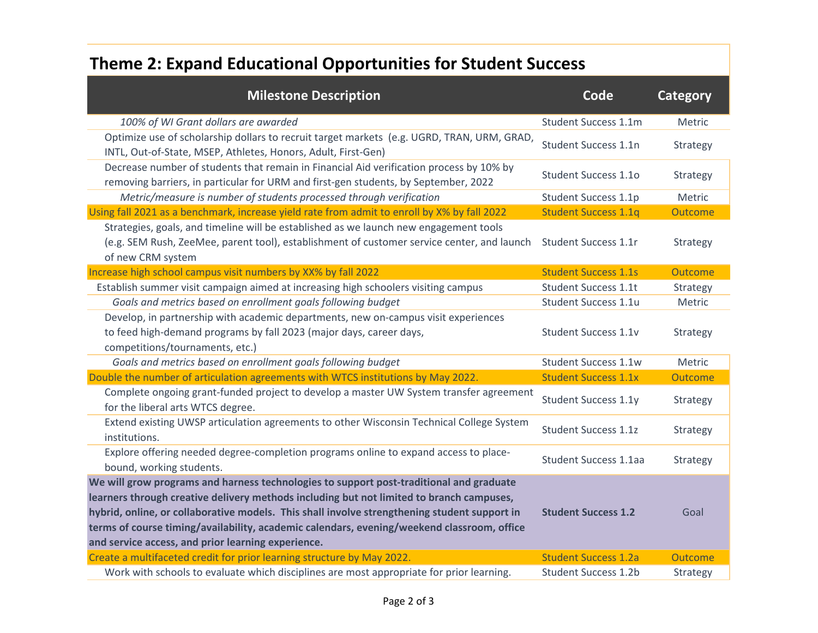### **Theme 2: Expand Educational Opportunities for Student Success**

| <b>Milestone Description</b>                                                                                                                                                                                                                                                                                                                                                                                                            | Code                        | Category |
|-----------------------------------------------------------------------------------------------------------------------------------------------------------------------------------------------------------------------------------------------------------------------------------------------------------------------------------------------------------------------------------------------------------------------------------------|-----------------------------|----------|
| 100% of WI Grant dollars are awarded                                                                                                                                                                                                                                                                                                                                                                                                    | Student Success 1.1m        | Metric   |
| Optimize use of scholarship dollars to recruit target markets (e.g. UGRD, TRAN, URM, GRAD,<br>INTL, Out-of-State, MSEP, Athletes, Honors, Adult, First-Gen)                                                                                                                                                                                                                                                                             | Student Success 1.1n        | Strategy |
| Decrease number of students that remain in Financial Aid verification process by 10% by<br>removing barriers, in particular for URM and first-gen students, by September, 2022                                                                                                                                                                                                                                                          | <b>Student Success 1.10</b> | Strategy |
| Metric/measure is number of students processed through verification                                                                                                                                                                                                                                                                                                                                                                     | Student Success 1.1p        | Metric   |
| Using fall 2021 as a benchmark, increase yield rate from admit to enroll by X% by fall 2022                                                                                                                                                                                                                                                                                                                                             | <b>Student Success 1.1q</b> | Outcome  |
| Strategies, goals, and timeline will be established as we launch new engagement tools<br>(e.g. SEM Rush, ZeeMee, parent tool), establishment of customer service center, and launch<br>of new CRM system                                                                                                                                                                                                                                | Student Success 1.1r        | Strategy |
| Increase high school campus visit numbers by XX% by fall 2022                                                                                                                                                                                                                                                                                                                                                                           | <b>Student Success 1.1s</b> | Outcome  |
| Establish summer visit campaign aimed at increasing high schoolers visiting campus                                                                                                                                                                                                                                                                                                                                                      | <b>Student Success 1.1t</b> | Strategy |
| Goals and metrics based on enrollment goals following budget                                                                                                                                                                                                                                                                                                                                                                            | Student Success 1.1u        | Metric   |
| Develop, in partnership with academic departments, new on-campus visit experiences<br>to feed high-demand programs by fall 2023 (major days, career days,<br>competitions/tournaments, etc.)                                                                                                                                                                                                                                            | Student Success 1.1v        | Strategy |
| Goals and metrics based on enrollment goals following budget                                                                                                                                                                                                                                                                                                                                                                            | <b>Student Success 1.1w</b> | Metric   |
| Double the number of articulation agreements with WTCS institutions by May 2022.                                                                                                                                                                                                                                                                                                                                                        | <b>Student Success 1.1x</b> | Outcome  |
| Complete ongoing grant-funded project to develop a master UW System transfer agreement<br>for the liberal arts WTCS degree.                                                                                                                                                                                                                                                                                                             | Student Success 1.1y        | Strategy |
| Extend existing UWSP articulation agreements to other Wisconsin Technical College System<br>institutions.                                                                                                                                                                                                                                                                                                                               | <b>Student Success 1.1z</b> | Strategy |
| Explore offering needed degree-completion programs online to expand access to place-<br>bound, working students.                                                                                                                                                                                                                                                                                                                        | Student Success 1.1aa       | Strategy |
| We will grow programs and harness technologies to support post-traditional and graduate<br>learners through creative delivery methods including but not limited to branch campuses,<br>hybrid, online, or collaborative models. This shall involve strengthening student support in<br>terms of course timing/availability, academic calendars, evening/weekend classroom, office<br>and service access, and prior learning experience. | <b>Student Success 1.2</b>  | Goal     |
| Create a multifaceted credit for prior learning structure by May 2022.                                                                                                                                                                                                                                                                                                                                                                  | <b>Student Success 1.2a</b> | Outcome  |
| Work with schools to evaluate which disciplines are most appropriate for prior learning.                                                                                                                                                                                                                                                                                                                                                | <b>Student Success 1.2b</b> | Strategy |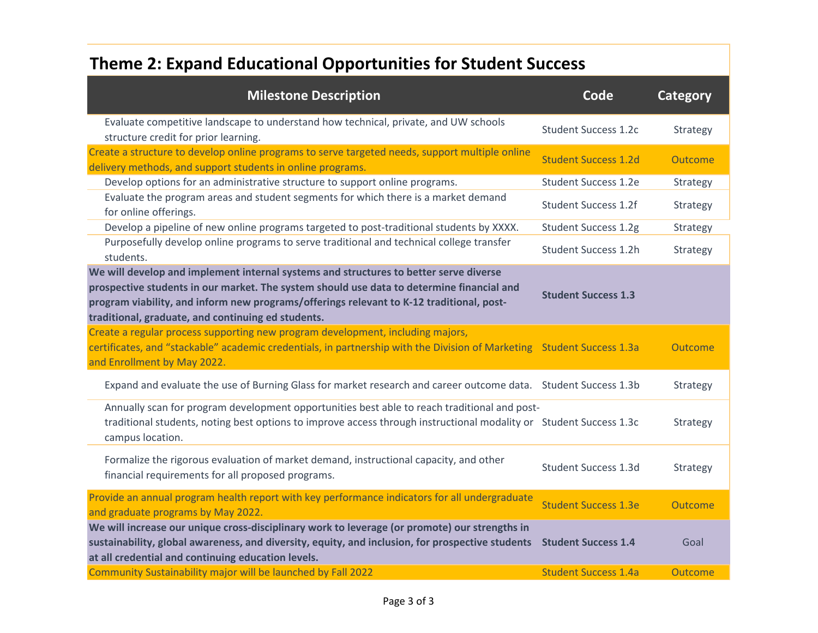### **Theme 2: Expand Educational Opportunities for Student Success**

| <b>Milestone Description</b>                                                                                                                                                                                                                                                                                                         | Code                        | <b>Category</b> |
|--------------------------------------------------------------------------------------------------------------------------------------------------------------------------------------------------------------------------------------------------------------------------------------------------------------------------------------|-----------------------------|-----------------|
| Evaluate competitive landscape to understand how technical, private, and UW schools<br>structure credit for prior learning.                                                                                                                                                                                                          | <b>Student Success 1.2c</b> | Strategy        |
| Create a structure to develop online programs to serve targeted needs, support multiple online<br>delivery methods, and support students in online programs.                                                                                                                                                                         | <b>Student Success 1.2d</b> | Outcome         |
| Develop options for an administrative structure to support online programs.                                                                                                                                                                                                                                                          | <b>Student Success 1.2e</b> | Strategy        |
| Evaluate the program areas and student segments for which there is a market demand<br>for online offerings.                                                                                                                                                                                                                          | <b>Student Success 1.2f</b> | Strategy        |
| Develop a pipeline of new online programs targeted to post-traditional students by XXXX.                                                                                                                                                                                                                                             | <b>Student Success 1.2g</b> | Strategy        |
| Purposefully develop online programs to serve traditional and technical college transfer<br>students.                                                                                                                                                                                                                                | <b>Student Success 1.2h</b> | Strategy        |
| We will develop and implement internal systems and structures to better serve diverse<br>prospective students in our market. The system should use data to determine financial and<br>program viability, and inform new programs/offerings relevant to K-12 traditional, post-<br>traditional, graduate, and continuing ed students. | <b>Student Success 1.3</b>  |                 |
| Create a regular process supporting new program development, including majors,<br>certificates, and "stackable" academic credentials, in partnership with the Division of Marketing Student Success 1.3a<br>and Enrollment by May 2022.                                                                                              |                             | Outcome         |
| Expand and evaluate the use of Burning Glass for market research and career outcome data.  Student Success 1.3b                                                                                                                                                                                                                      |                             | Strategy        |
| Annually scan for program development opportunities best able to reach traditional and post-<br>traditional students, noting best options to improve access through instructional modality or Student Success 1.3c<br>campus location.                                                                                               |                             | Strategy        |
| Formalize the rigorous evaluation of market demand, instructional capacity, and other<br>financial requirements for all proposed programs.                                                                                                                                                                                           | <b>Student Success 1.3d</b> | Strategy        |
| Provide an annual program health report with key performance indicators for all undergraduate<br>and graduate programs by May 2022.                                                                                                                                                                                                  | <b>Student Success 1.3e</b> | Outcome         |
| We will increase our unique cross-disciplinary work to leverage (or promote) our strengths in<br>sustainability, global awareness, and diversity, equity, and inclusion, for prospective students<br>at all credential and continuing education levels.                                                                              | <b>Student Success 1.4</b>  | Goal            |
| Community Sustainability major will be launched by Fall 2022                                                                                                                                                                                                                                                                         | <b>Student Success 1.4a</b> | Outcome         |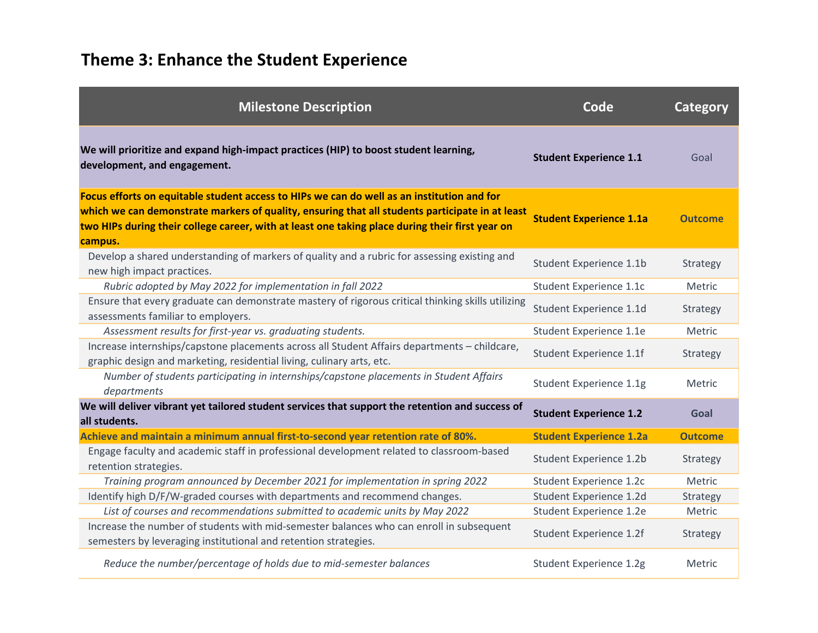| <b>Milestone Description</b>                                                                                                                                                                                                                                                                                | Code                           | Category       |
|-------------------------------------------------------------------------------------------------------------------------------------------------------------------------------------------------------------------------------------------------------------------------------------------------------------|--------------------------------|----------------|
| We will prioritize and expand high-impact practices (HIP) to boost student learning,<br>development, and engagement.                                                                                                                                                                                        | <b>Student Experience 1.1</b>  | Goal           |
| Focus efforts on equitable student access to HIPs we can do well as an institution and for<br>which we can demonstrate markers of quality, ensuring that all students participate in at least<br>two HIPs during their college career, with at least one taking place during their first year on<br>campus. | <b>Student Experience 1.1a</b> | <b>Outcome</b> |
| Develop a shared understanding of markers of quality and a rubric for assessing existing and<br>new high impact practices.                                                                                                                                                                                  | Student Experience 1.1b        | Strategy       |
| Rubric adopted by May 2022 for implementation in fall 2022                                                                                                                                                                                                                                                  | Student Experience 1.1c        | Metric         |
| Ensure that every graduate can demonstrate mastery of rigorous critical thinking skills utilizing<br>assessments familiar to employers.                                                                                                                                                                     | Student Experience 1.1d        | Strategy       |
| Assessment results for first-year vs. graduating students.                                                                                                                                                                                                                                                  | Student Experience 1.1e        | Metric         |
| Increase internships/capstone placements across all Student Affairs departments - childcare,<br>graphic design and marketing, residential living, culinary arts, etc.                                                                                                                                       | Student Experience 1.1f        | Strategy       |
| Number of students participating in internships/capstone placements in Student Affairs<br>departments                                                                                                                                                                                                       | Student Experience 1.1g        | Metric         |
| We will deliver vibrant yet tailored student services that support the retention and success of<br>all students.                                                                                                                                                                                            | <b>Student Experience 1.2</b>  | Goal           |
| Achieve and maintain a minimum annual first-to-second year retention rate of 80%.                                                                                                                                                                                                                           | <b>Student Experience 1.2a</b> | <b>Outcome</b> |
| Engage faculty and academic staff in professional development related to classroom-based<br>retention strategies.                                                                                                                                                                                           | Student Experience 1.2b        | Strategy       |
| Training program announced by December 2021 for implementation in spring 2022                                                                                                                                                                                                                               | Student Experience 1.2c        | Metric         |
| Identify high D/F/W-graded courses with departments and recommend changes.                                                                                                                                                                                                                                  | Student Experience 1.2d        | Strategy       |
| List of courses and recommendations submitted to academic units by May 2022                                                                                                                                                                                                                                 | Student Experience 1.2e        | Metric         |
| Increase the number of students with mid-semester balances who can enroll in subsequent<br>semesters by leveraging institutional and retention strategies.                                                                                                                                                  | Student Experience 1.2f        | Strategy       |
| Reduce the number/percentage of holds due to mid-semester balances                                                                                                                                                                                                                                          | Student Experience 1.2g        | Metric         |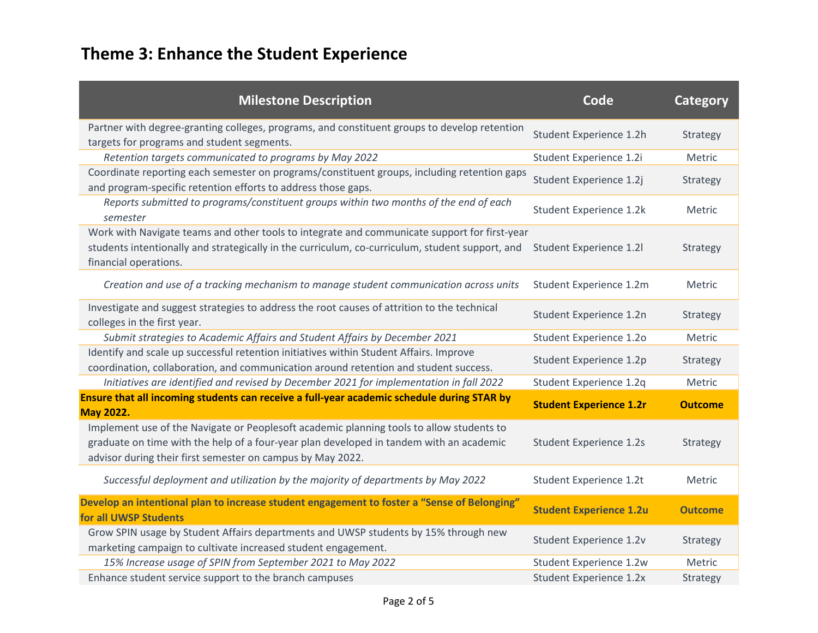| <b>Milestone Description</b>                                                                                                                                                                                                                      | Code                           | <b>Category</b> |
|---------------------------------------------------------------------------------------------------------------------------------------------------------------------------------------------------------------------------------------------------|--------------------------------|-----------------|
| Partner with degree-granting colleges, programs, and constituent groups to develop retention<br>targets for programs and student segments.                                                                                                        | Student Experience 1.2h        | Strategy        |
| Retention targets communicated to programs by May 2022                                                                                                                                                                                            | Student Experience 1.2i        | Metric          |
| Coordinate reporting each semester on programs/constituent groups, including retention gaps<br>and program-specific retention efforts to address those gaps.                                                                                      | Student Experience 1.2j        | Strategy        |
| Reports submitted to programs/constituent groups within two months of the end of each<br>semester                                                                                                                                                 | Student Experience 1.2k        | Metric          |
| Work with Navigate teams and other tools to integrate and communicate support for first-year<br>students intentionally and strategically in the curriculum, co-curriculum, student support, and<br>financial operations.                          | <b>Student Experience 1.2l</b> | Strategy        |
| Creation and use of a tracking mechanism to manage student communication across units                                                                                                                                                             | Student Experience 1.2m        | Metric          |
| Investigate and suggest strategies to address the root causes of attrition to the technical<br>colleges in the first year.                                                                                                                        | Student Experience 1.2n        | Strategy        |
| Submit strategies to Academic Affairs and Student Affairs by December 2021                                                                                                                                                                        | Student Experience 1.2o        | Metric          |
| Identify and scale up successful retention initiatives within Student Affairs. Improve<br>coordination, collaboration, and communication around retention and student success.                                                                    | Student Experience 1.2p        | Strategy        |
| Initiatives are identified and revised by December 2021 for implementation in fall 2022                                                                                                                                                           | Student Experience 1.2q        | Metric          |
| Ensure that all incoming students can receive a full-year academic schedule during STAR by<br><b>May 2022.</b>                                                                                                                                    | <b>Student Experience 1.2r</b> | <b>Outcome</b>  |
| Implement use of the Navigate or Peoplesoft academic planning tools to allow students to<br>graduate on time with the help of a four-year plan developed in tandem with an academic<br>advisor during their first semester on campus by May 2022. | <b>Student Experience 1.2s</b> | Strategy        |
| Successful deployment and utilization by the majority of departments by May 2022                                                                                                                                                                  | Student Experience 1.2t        | Metric          |
| Develop an intentional plan to increase student engagement to foster a "Sense of Belonging"<br>for all UWSP Students                                                                                                                              | <b>Student Experience 1.2u</b> | <b>Outcome</b>  |
| Grow SPIN usage by Student Affairs departments and UWSP students by 15% through new<br>marketing campaign to cultivate increased student engagement.                                                                                              | Student Experience 1.2v        | Strategy        |
| 15% Increase usage of SPIN from September 2021 to May 2022                                                                                                                                                                                        | Student Experience 1.2w        | Metric          |
| Enhance student service support to the branch campuses                                                                                                                                                                                            | Student Experience 1.2x        | Strategy        |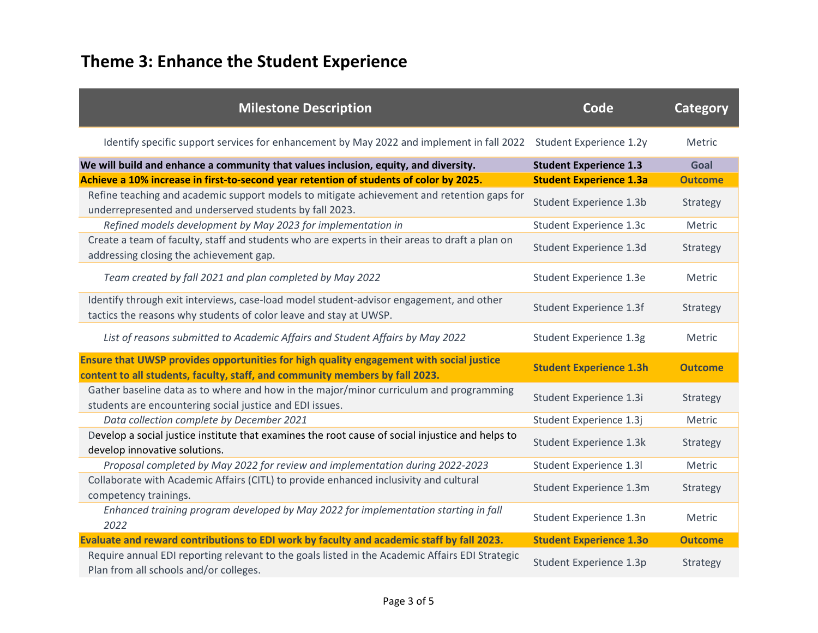| <b>Milestone Description</b>                                                                                                                                            | Code                           | <b>Category</b> |
|-------------------------------------------------------------------------------------------------------------------------------------------------------------------------|--------------------------------|-----------------|
| Identify specific support services for enhancement by May 2022 and implement in fall 2022                                                                               | Student Experience 1.2y        | Metric          |
| We will build and enhance a community that values inclusion, equity, and diversity.                                                                                     | <b>Student Experience 1.3</b>  | Goal            |
| Achieve a 10% increase in first-to-second year retention of students of color by 2025.                                                                                  | <b>Student Experience 1.3a</b> | <b>Outcome</b>  |
| Refine teaching and academic support models to mitigate achievement and retention gaps for<br>underrepresented and underserved students by fall 2023.                   | Student Experience 1.3b        | Strategy        |
| Refined models development by May 2023 for implementation in                                                                                                            | Student Experience 1.3c        | Metric          |
| Create a team of faculty, staff and students who are experts in their areas to draft a plan on<br>addressing closing the achievement gap.                               | Student Experience 1.3d        | Strategy        |
| Team created by fall 2021 and plan completed by May 2022                                                                                                                | Student Experience 1.3e        | Metric          |
| Identify through exit interviews, case-load model student-advisor engagement, and other<br>tactics the reasons why students of color leave and stay at UWSP.            | Student Experience 1.3f        | Strategy        |
| List of reasons submitted to Academic Affairs and Student Affairs by May 2022                                                                                           | Student Experience 1.3g        | Metric          |
| Ensure that UWSP provides opportunities for high quality engagement with social justice<br>content to all students, faculty, staff, and community members by fall 2023. | <b>Student Experience 1.3h</b> | <b>Outcome</b>  |
| Gather baseline data as to where and how in the major/minor curriculum and programming<br>students are encountering social justice and EDI issues.                      | Student Experience 1.3i        | Strategy        |
| Data collection complete by December 2021                                                                                                                               | Student Experience 1.3j        | Metric          |
| Develop a social justice institute that examines the root cause of social injustice and helps to<br>develop innovative solutions.                                       | Student Experience 1.3k        | Strategy        |
| Proposal completed by May 2022 for review and implementation during 2022-2023                                                                                           | Student Experience 1.3I        | Metric          |
| Collaborate with Academic Affairs (CITL) to provide enhanced inclusivity and cultural<br>competency trainings.                                                          | Student Experience 1.3m        | Strategy        |
| Enhanced training program developed by May 2022 for implementation starting in fall<br>2022                                                                             | Student Experience 1.3n        | Metric          |
| Evaluate and reward contributions to EDI work by faculty and academic staff by fall 2023.                                                                               | <b>Student Experience 1.3o</b> | <b>Outcome</b>  |
| Require annual EDI reporting relevant to the goals listed in the Academic Affairs EDI Strategic<br>Plan from all schools and/or colleges.                               | Student Experience 1.3p        | Strategy        |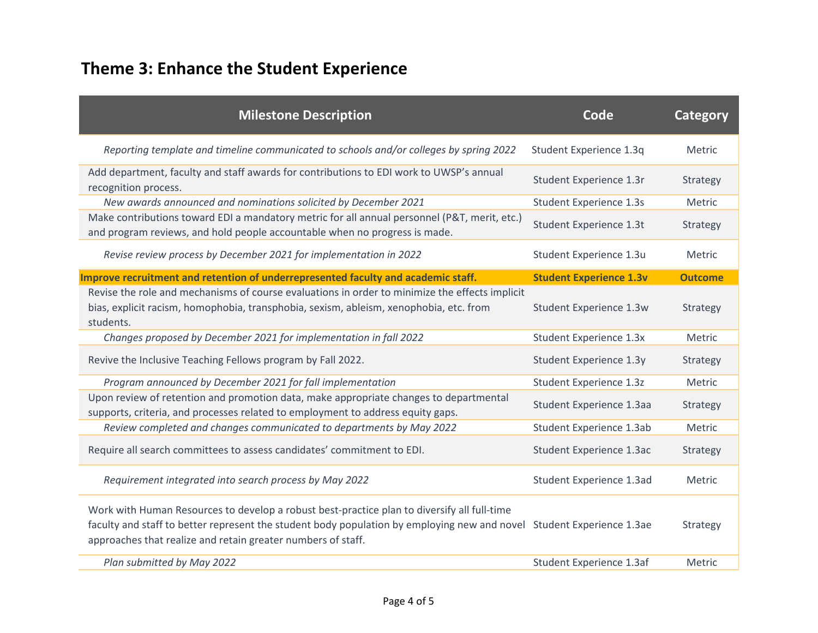| <b>Milestone Description</b>                                                                                                                                                                                                                                                         | Code                           | Category       |
|--------------------------------------------------------------------------------------------------------------------------------------------------------------------------------------------------------------------------------------------------------------------------------------|--------------------------------|----------------|
| Reporting template and timeline communicated to schools and/or colleges by spring 2022                                                                                                                                                                                               | Student Experience 1.3q        | Metric         |
| Add department, faculty and staff awards for contributions to EDI work to UWSP's annual<br>recognition process.                                                                                                                                                                      | Student Experience 1.3r        | Strategy       |
| New awards announced and nominations solicited by December 2021                                                                                                                                                                                                                      | Student Experience 1.3s        | Metric         |
| Make contributions toward EDI a mandatory metric for all annual personnel (P&T, merit, etc.)<br>and program reviews, and hold people accountable when no progress is made.                                                                                                           | Student Experience 1.3t        | Strategy       |
| Revise review process by December 2021 for implementation in 2022                                                                                                                                                                                                                    | Student Experience 1.3u        | Metric         |
| Improve recruitment and retention of underrepresented faculty and academic staff.                                                                                                                                                                                                    | <b>Student Experience 1.3v</b> | <b>Outcome</b> |
| Revise the role and mechanisms of course evaluations in order to minimize the effects implicit<br>bias, explicit racism, homophobia, transphobia, sexism, ableism, xenophobia, etc. from<br>students.                                                                                | Student Experience 1.3w        | Strategy       |
| Changes proposed by December 2021 for implementation in fall 2022                                                                                                                                                                                                                    | Student Experience 1.3x        | Metric         |
| Revive the Inclusive Teaching Fellows program by Fall 2022.                                                                                                                                                                                                                          | Student Experience 1.3y        | Strategy       |
| Program announced by December 2021 for fall implementation                                                                                                                                                                                                                           | Student Experience 1.3z        | Metric         |
| Upon review of retention and promotion data, make appropriate changes to departmental<br>supports, criteria, and processes related to employment to address equity gaps.                                                                                                             | Student Experience 1.3aa       | Strategy       |
| Review completed and changes communicated to departments by May 2022                                                                                                                                                                                                                 | Student Experience 1.3ab       | Metric         |
| Require all search committees to assess candidates' commitment to EDI.                                                                                                                                                                                                               | Student Experience 1.3ac       | Strategy       |
| Requirement integrated into search process by May 2022                                                                                                                                                                                                                               | Student Experience 1.3ad       | Metric         |
| Work with Human Resources to develop a robust best-practice plan to diversify all full-time<br>faculty and staff to better represent the student body population by employing new and novel Student Experience 1.3ae<br>approaches that realize and retain greater numbers of staff. |                                | Strategy       |
| Plan submitted by May 2022                                                                                                                                                                                                                                                           | Student Experience 1.3af       | Metric         |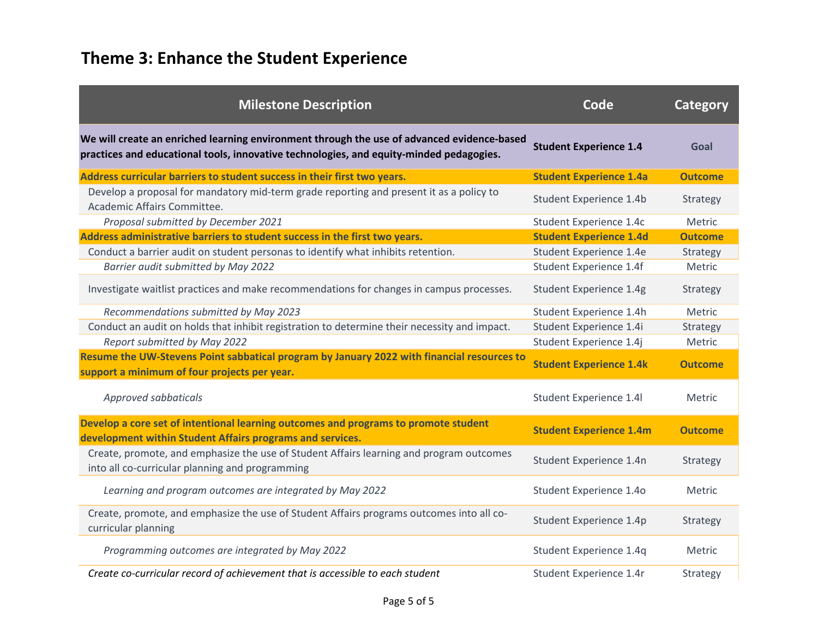| <b>Milestone Description</b>                                                                                                                                                          | Code                           | <b>Category</b> |
|---------------------------------------------------------------------------------------------------------------------------------------------------------------------------------------|--------------------------------|-----------------|
| We will create an enriched learning environment through the use of advanced evidence-based<br>practices and educational tools, innovative technologies, and equity-minded pedagogies. | <b>Student Experience 1.4</b>  | Goal            |
| Address curricular barriers to student success in their first two years.                                                                                                              | <b>Student Experience 1.4a</b> | <b>Outcome</b>  |
| Develop a proposal for mandatory mid-term grade reporting and present it as a policy to<br>Academic Affairs Committee.                                                                | Student Experience 1.4b        | Strategy        |
| Proposal submitted by December 2021                                                                                                                                                   | Student Experience 1.4c        | Metric          |
| Address administrative barriers to student success in the first two years.                                                                                                            | <b>Student Experience 1.4d</b> | <b>Outcome</b>  |
| Conduct a barrier audit on student personas to identify what inhibits retention.                                                                                                      | Student Experience 1.4e        | Strategy        |
| Barrier audit submitted by May 2022                                                                                                                                                   | Student Experience 1.4f        | Metric          |
| Investigate waitlist practices and make recommendations for changes in campus processes.                                                                                              | <b>Student Experience 1.4g</b> | Strategy        |
| Recommendations submitted by May 2023                                                                                                                                                 | Student Experience 1.4h        | Metric          |
| Conduct an audit on holds that inhibit registration to determine their necessity and impact.                                                                                          | Student Experience 1.4i        | Strategy        |
| Report submitted by May 2022                                                                                                                                                          | Student Experience 1.4j        | Metric          |
| Resume the UW-Stevens Point sabbatical program by January 2022 with financial resources to<br>support a minimum of four projects per year.                                            | <b>Student Experience 1.4k</b> | <b>Outcome</b>  |
| Approved sabbaticals                                                                                                                                                                  | Student Experience 1.4l        | Metric          |
| Develop a core set of intentional learning outcomes and programs to promote student<br>development within Student Affairs programs and services.                                      | <b>Student Experience 1.4m</b> | <b>Outcome</b>  |
| Create, promote, and emphasize the use of Student Affairs learning and program outcomes<br>into all co-curricular planning and programming                                            | Student Experience 1.4n        | Strategy        |
| Learning and program outcomes are integrated by May 2022                                                                                                                              | Student Experience 1.4o        | Metric          |
| Create, promote, and emphasize the use of Student Affairs programs outcomes into all co-<br>curricular planning                                                                       | Student Experience 1.4p        | Strategy        |
| Programming outcomes are integrated by May 2022                                                                                                                                       | Student Experience 1.4q        | Metric          |
| Create co-curricular record of achievement that is accessible to each student                                                                                                         | Student Experience 1.4r        | Strategy        |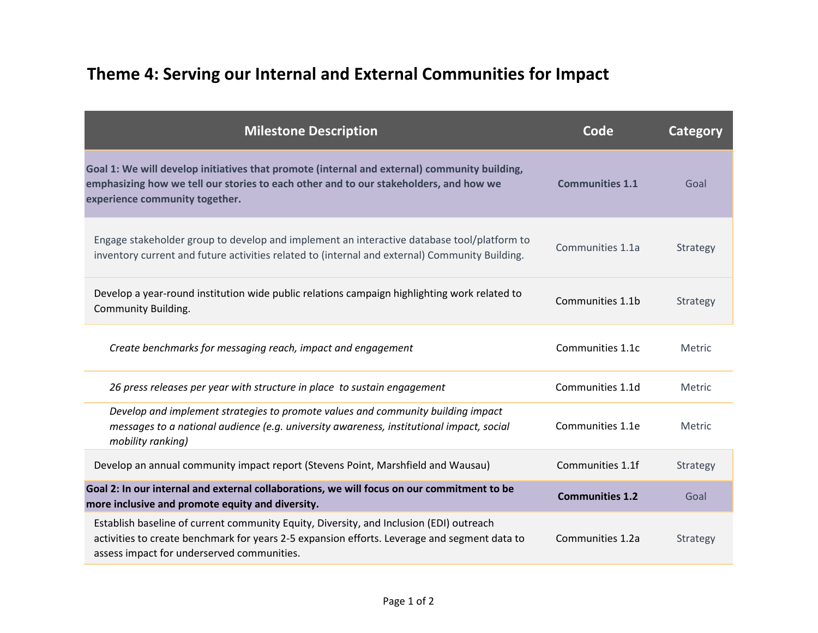#### **Theme 4: Serving our Internal and External Communities for Impact**

| <b>Milestone Description</b>                                                                                                                                                                                                          | Code                   | Category        |
|---------------------------------------------------------------------------------------------------------------------------------------------------------------------------------------------------------------------------------------|------------------------|-----------------|
| Goal 1: We will develop initiatives that promote (internal and external) community building,<br>emphasizing how we tell our stories to each other and to our stakeholders, and how we<br>experience community together.               | <b>Communities 1.1</b> | Goal            |
| Engage stakeholder group to develop and implement an interactive database tool/platform to<br>inventory current and future activities related to (internal and external) Community Building.                                          | Communities 1.1a       | Strategy        |
| Develop a year-round institution wide public relations campaign highlighting work related to<br><b>Community Building.</b>                                                                                                            | Communities 1.1b       | Strategy        |
| Create benchmarks for messaging reach, impact and engagement                                                                                                                                                                          | Communities 1.1c       | Metric          |
| 26 press releases per year with structure in place to sustain engagement                                                                                                                                                              | Communities 1.1d       | Metric          |
| Develop and implement strategies to promote values and community building impact<br>messages to a national audience (e.g. university awareness, institutional impact, social<br>mobility ranking)                                     | Communities 1.1e       | Metric          |
| Develop an annual community impact report (Stevens Point, Marshfield and Wausau)                                                                                                                                                      | Communities 1.1f       | Strategy        |
| Goal 2: In our internal and external collaborations, we will focus on our commitment to be<br>more inclusive and promote equity and diversity.                                                                                        | <b>Communities 1.2</b> | Goal            |
| Establish baseline of current community Equity, Diversity, and Inclusion (EDI) outreach<br>activities to create benchmark for years 2-5 expansion efforts. Leverage and segment data to<br>assess impact for underserved communities. | Communities 1.2a       | <b>Strategy</b> |